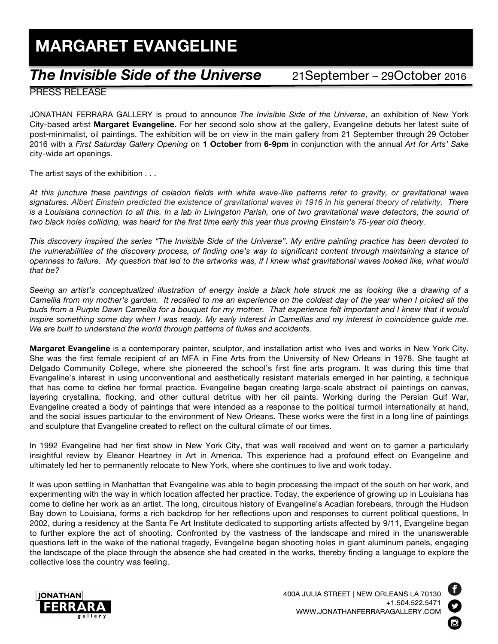## **MARGARET EVANGELINE**

## *The Invisible Side of the Universe* 21September – 29October <sup>2016</sup>

## PRESS RELEASE

JONATHAN FERRARA GALLERY is proud to announce *The Invisible Side of the Universe*, an exhibition of New York City-based artist **Margaret Evangeline**. For her second solo show at the gallery, Evangeline debuts her latest suite of post-minimalist, oil paintings. The exhibition will be on view in the main gallery from 21 September through 29 October 2016 with a *First Saturday Gallery Opening* on **1 October** from **6-9pm** in conjunction with the annual *Art for Arts' Sake* city-wide art openings.

The artist says of the exhibition . . .

*At this juncture these paintings of celadon fields with white wave-like patterns refer to gravity, or gravitational wave signatures. Albert Einstein predicted the existence of gravitational waves in 1916 in his general theory of relativity. There is a Louisiana connection to all this. In a lab in Livingston Parish, one of two gravitational wave detectors, the sound of two black holes colliding, was heard for the first time early this year thus proving Einstein's 75-year old theory.*

*This discovery inspired the series "The Invisible Side of the Universe". My entire painting practice has been devoted to the vulnerabilities of the discovery process, of finding one's way to significant content through maintaining a stance of openness to failure. My question that led to the artworks was, if I knew what gravitational waves looked like, what would that be?*

*Seeing an artist's conceptualized illustration of energy inside a black hole struck me as looking like a drawing of a Camellia from my mother's garden. It recalled to me an experience on the coldest day of the year when I picked all the buds from a Purple Dawn Camellia for a bouquet for my mother. That experience felt important and I knew that it would*  inspire something some day when I was ready. My early interest in Camellias and my interest in coincidence guide me. *We are built to understand the world through patterns of flukes and accidents.*

**Margaret Evangeline** is a contemporary painter, sculptor, and installation artist who lives and works in New York City. She was the first female recipient of an MFA in Fine Arts from the University of New Orleans in 1978. She taught at Delgado Community College, where she pioneered the school's first fine arts program. It was during this time that Evangeline's interest in using unconventional and aesthetically resistant materials emerged in her painting, a technique that has come to define her formal practice. Evangeline began creating large-scale abstract oil paintings on canvas, layering crystallina, flocking, and other cultural detritus with her oil paints. Working during the Persian Gulf War, Evangeline created a body of paintings that were intended as a response to the political turmoil internationally at hand, and the social issues particular to the environment of New Orleans. These works were the first in a long line of paintings and sculpture that Evangeline created to reflect on the cultural climate of our times.

In 1992 Evangeline had her first show in New York City, that was well received and went on to garner a particularly insightful review by Eleanor Heartney in Art in America. This experience had a profound effect on Evangeline and ultimately led her to permanently relocate to New York, where she continues to live and work today.

It was upon settling in Manhattan that Evangeline was able to begin processing the impact of the south on her work, and experimenting with the way in which location affected her practice. Today, the experience of growing up in Louisiana has come to define her work as an artist. The long, circuitous history of Evangeline's Acadian forebears, through the Hudson Bay down to Louisiana, forms a rich backdrop for her reflections upon and responses to current political questions, In 2002, during a residency at the Santa Fe Art Institute dedicated to supporting artists affected by 9/11, Evangeline began to further explore the act of shooting. Confronted by the vastness of the landscape and mired in the unanswerable questions left in the wake of the national tragedy, Evangeline began shooting holes in giant aluminum panels, engaging the landscape of the place through the absence she had created in the works, thereby finding a language to explore the collective loss the country was feeling.



 $\bullet$